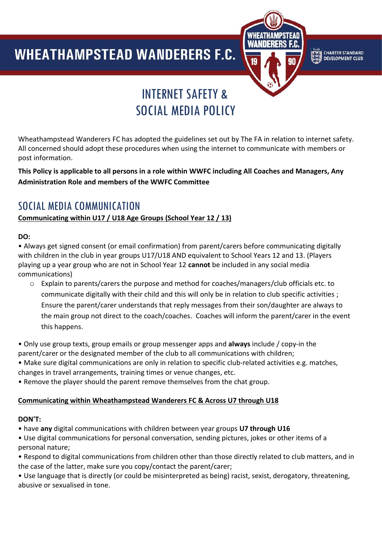### **WHEATHAMPSTEAD WANDERERS F.C.**  $\overline{a}$



**CHARTER STANDARD**<br>DEVELOPMENT CLUB

# INTERNET SAFETY & SOCIAL MEDIA POLICY

Wheathampstead Wanderers FC has adopted the guidelines set out by The FA in relation to internet safety. All concerned should adopt these procedures when using the internet to communicate with members or post information.

#### **This Policy is applicable to all persons in a role within WWFC including All Coaches and Managers, Any Administration Role and members of the WWFC Committee**

## SOCIAL MEDIA COMMUNICATION

#### **Communicating within U17 / U18 Age Groups (School Year 12 / 13)**

#### **DO:**

• Always get signed consent (or email confirmation) from parent/carers before communicating digitally with children in the club in year groups U17/U18 AND equivalent to School Years 12 and 13. (Players playing up a year group who are not in School Year 12 **cannot** be included in any social media communications)

o Explain to parents/carers the purpose and method for coaches/managers/club officials etc. to communicate digitally with their child and this will only be in relation to club specific activities ; Ensure the parent/carer understands that reply messages from their son/daughter are always to the main group not direct to the coach/coaches. Coaches will inform the parent/carer in the event this happens.

• Only use group texts, group emails or group messenger apps and **always** include / copy-in the parent/carer or the designated member of the club to all communications with children;

- Make sure digital communications are only in relation to specific club-related activities e.g. matches, changes in travel arrangements, training times or venue changes, etc.
- Remove the player should the parent remove themselves from the chat group.

#### **Communicating within Wheathampstead Wanderers FC & Across U7 through U18**

#### **DON'T:**

• have **any** digital communications with children between year groups **U7 through U16**

- Use digital communications for personal conversation, sending pictures, jokes or other items of a personal nature;
- Respond to digital communications from children other than those directly related to club matters, and in the case of the latter, make sure you copy/contact the parent/carer;

• Use language that is directly (or could be misinterpreted as being) racist, sexist, derogatory, threatening, abusive or sexualised in tone.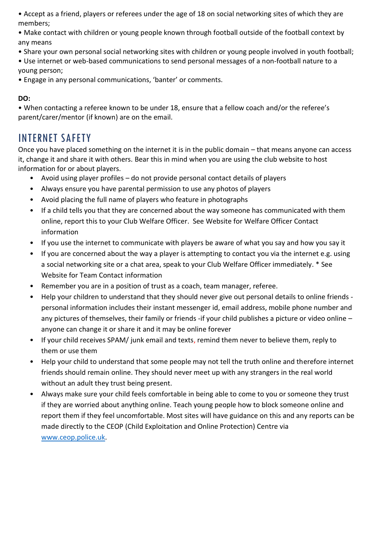• Accept as a friend, players or referees under the age of 18 on social networking sites of which they are members;

• Make contact with children or young people known through football outside of the football context by any means

• Share your own personal social networking sites with children or young people involved in youth football;

• Use internet or web-based communications to send personal messages of a non-football nature to a young person;

• Engage in any personal communications, 'banter' or comments.

#### **DO:**

• When contacting a referee known to be under 18, ensure that a fellow coach and/or the referee's parent/carer/mentor (if known) are on the email.

# INTERNET SAFETY

Once you have placed something on the internet it is in the public domain – that means anyone can access it, change it and share it with others. Bear this in mind when you are using the club website to host information for or about players.

- Avoid using player profiles do not provide personal contact details of players
- Always ensure you have parental permission to use any photos of players
- Avoid placing the full name of players who feature in photographs
- If a child tells you that they are concerned about the way someone has communicated with them online, report this to your Club Welfare Officer. See Website for Welfare Officer Contact information
- If you use the internet to communicate with players be aware of what you say and how you say it
- If you are concerned about the way a player is attempting to contact you via the internet e.g. using a social networking site or a chat area, speak to your Club Welfare Officer immediately. \* See Website for Team Contact information
- Remember you are in a position of trust as a coach, team manager, referee.
- Help your children to understand that they should never give out personal details to online friends personal information includes their instant messenger id, email address, mobile phone number and any pictures of themselves, their family or friends -if your child publishes a picture or video online – anyone can change it or share it and it may be online forever
- If your child receives SPAM/ junk email and texts, remind them never to believe them, reply to them or use them
- Help your child to understand that some people may not tell the truth online and therefore internet friends should remain online. They should never meet up with any strangers in the real world without an adult they trust being present.
- Always make sure your child feels comfortable in being able to come to you or someone they trust if they are worried about anything online. Teach young people how to block someone online and report them if they feel uncomfortable. Most sites will have guidance on this and any reports can be made directly to the CEOP (Child Exploitation and Online Protection) Centre via [www.ceop.police.uk.](http://www.ceop.police.uk/)